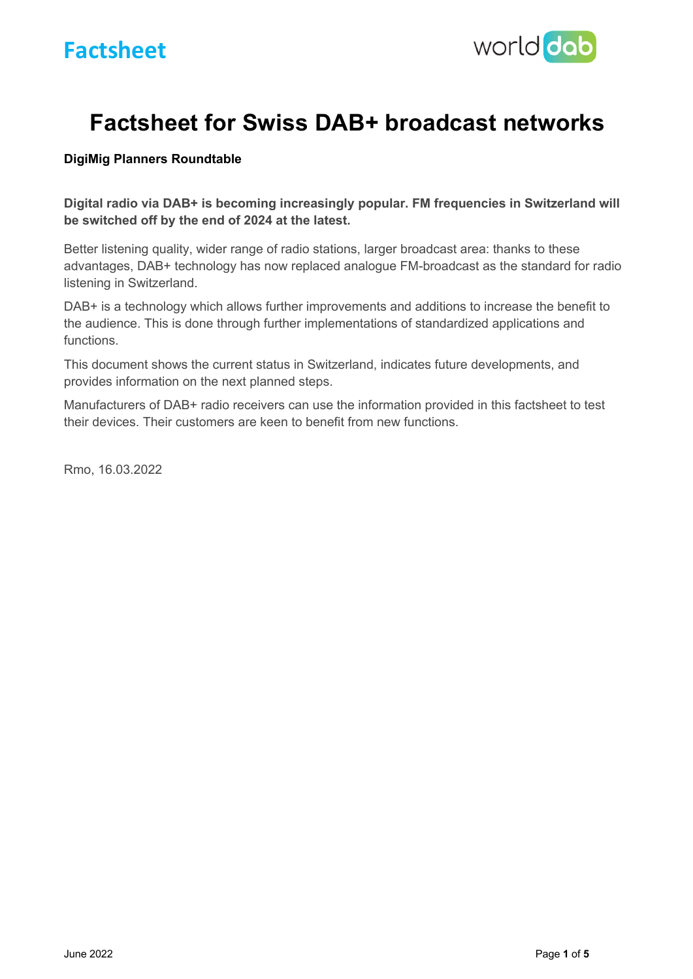

# **Factsheet for Swiss DAB+ broadcast networks**

### **DigiMig Planners Roundtable**

**Digital radio via DAB+ is becoming increasingly popular. FM frequencies in Switzerland will be switched off by the end of 2024 at the latest.**

Better listening quality, wider range of radio stations, larger broadcast area: thanks to these advantages, DAB+ technology has now replaced analogue FM-broadcast as the standard for radio listening in Switzerland.

DAB+ is a technology which allows further improvements and additions to increase the benefit to the audience. This is done through further implementations of standardized applications and functions.

This document shows the current status in Switzerland, indicates future developments, and provides information on the next planned steps.

Manufacturers of DAB+ radio receivers can use the information provided in this factsheet to test their devices. Their customers are keen to benefit from new functions.

Rmo, 16.03.2022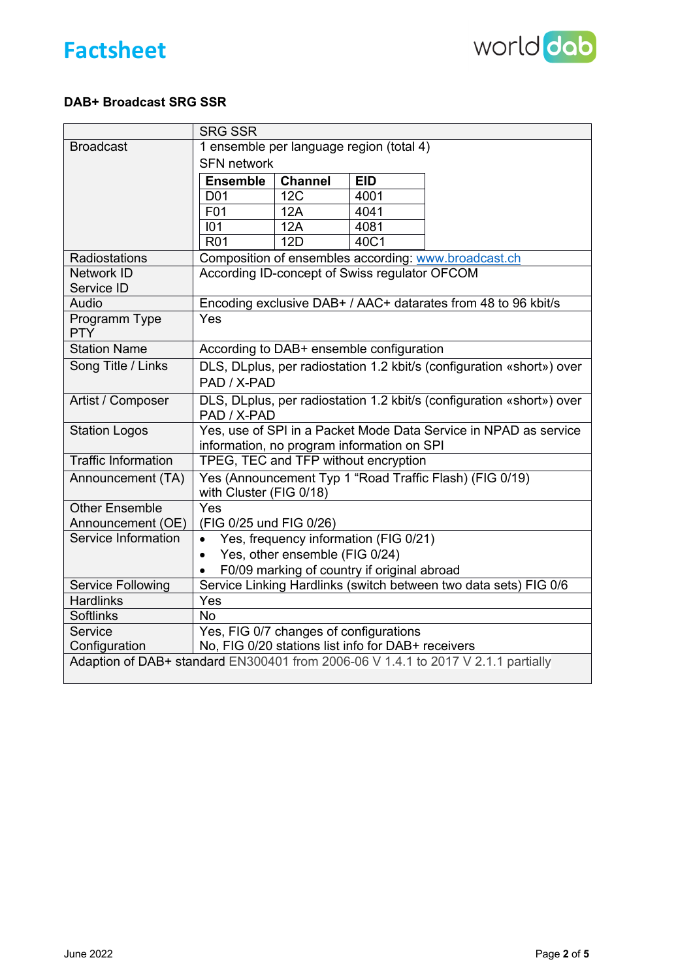



## **DAB+ Broadcast SRG SSR**

|                                                                                   | <b>SRG SSR</b>                                                                                                 |                |            |  |  |  |
|-----------------------------------------------------------------------------------|----------------------------------------------------------------------------------------------------------------|----------------|------------|--|--|--|
| <b>Broadcast</b>                                                                  | 1 ensemble per language region (total 4)                                                                       |                |            |  |  |  |
|                                                                                   | <b>SFN network</b>                                                                                             |                |            |  |  |  |
|                                                                                   | <b>Ensemble</b>                                                                                                | <b>Channel</b> | <b>EID</b> |  |  |  |
|                                                                                   | D <sub>0</sub> 1                                                                                               | 12C            | 4001       |  |  |  |
|                                                                                   | F01                                                                                                            | 12A            | 4041       |  |  |  |
|                                                                                   | 101                                                                                                            | 12A            | 4081       |  |  |  |
|                                                                                   | <b>R01</b>                                                                                                     | <b>12D</b>     | 40C1       |  |  |  |
| Radiostations                                                                     | Composition of ensembles according: www.broadcast.ch                                                           |                |            |  |  |  |
| Network ID                                                                        | According ID-concept of Swiss regulator OFCOM                                                                  |                |            |  |  |  |
| Service ID                                                                        |                                                                                                                |                |            |  |  |  |
| Audio                                                                             | Encoding exclusive DAB+ / AAC+ datarates from 48 to 96 kbit/s                                                  |                |            |  |  |  |
| Programm Type<br><b>PTY</b>                                                       | Yes                                                                                                            |                |            |  |  |  |
| <b>Station Name</b>                                                               | According to DAB+ ensemble configuration                                                                       |                |            |  |  |  |
| Song Title / Links                                                                | DLS, DLplus, per radiostation 1.2 kbit/s (configuration «short») over                                          |                |            |  |  |  |
|                                                                                   | PAD / X-PAD                                                                                                    |                |            |  |  |  |
| Artist / Composer                                                                 | DLS, DLplus, per radiostation 1.2 kbit/s (configuration «short») over<br>PAD / X-PAD                           |                |            |  |  |  |
| <b>Station Logos</b>                                                              | Yes, use of SPI in a Packet Mode Data Service in NPAD as service<br>information, no program information on SPI |                |            |  |  |  |
| <b>Traffic Information</b>                                                        | TPEG, TEC and TFP without encryption                                                                           |                |            |  |  |  |
| Announcement (TA)                                                                 | Yes (Announcement Typ 1 "Road Traffic Flash) (FIG 0/19)<br>with Cluster (FIG 0/18)                             |                |            |  |  |  |
| <b>Other Ensemble</b>                                                             | Yes                                                                                                            |                |            |  |  |  |
| Announcement (OE)                                                                 | (FIG 0/25 und FIG 0/26)                                                                                        |                |            |  |  |  |
| Service Information                                                               | Yes, frequency information (FIG 0/21)<br>$\bullet$                                                             |                |            |  |  |  |
|                                                                                   | Yes, other ensemble (FIG 0/24)<br>$\bullet$                                                                    |                |            |  |  |  |
|                                                                                   | F0/09 marking of country if original abroad<br>$\bullet$                                                       |                |            |  |  |  |
| Service Following                                                                 | Service Linking Hardlinks (switch between two data sets) FIG 0/6                                               |                |            |  |  |  |
| <b>Hardlinks</b>                                                                  | Yes                                                                                                            |                |            |  |  |  |
| <b>Softlinks</b>                                                                  | <b>No</b>                                                                                                      |                |            |  |  |  |
| Service                                                                           | Yes, FIG 0/7 changes of configurations                                                                         |                |            |  |  |  |
| Configuration                                                                     | No, FIG 0/20 stations list info for DAB+ receivers                                                             |                |            |  |  |  |
| Adaption of DAB+ standard EN300401 from 2006-06 V 1.4.1 to 2017 V 2.1.1 partially |                                                                                                                |                |            |  |  |  |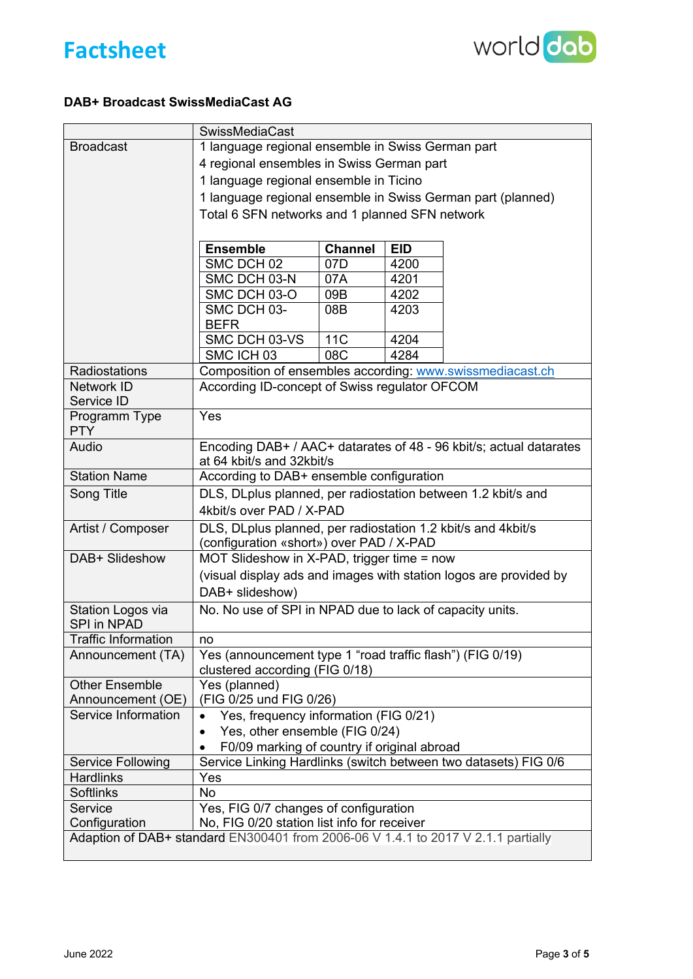



## **DAB+ Broadcast SwissMediaCast AG**

|                                                                                   | <b>SwissMediaCast</b>                                                                       |     |      |                                                                 |  |  |  |  |
|-----------------------------------------------------------------------------------|---------------------------------------------------------------------------------------------|-----|------|-----------------------------------------------------------------|--|--|--|--|
| <b>Broadcast</b>                                                                  | 1 language regional ensemble in Swiss German part                                           |     |      |                                                                 |  |  |  |  |
|                                                                                   | 4 regional ensembles in Swiss German part                                                   |     |      |                                                                 |  |  |  |  |
|                                                                                   | 1 language regional ensemble in Ticino                                                      |     |      |                                                                 |  |  |  |  |
|                                                                                   | 1 language regional ensemble in Swiss German part (planned)                                 |     |      |                                                                 |  |  |  |  |
|                                                                                   | Total 6 SFN networks and 1 planned SFN network                                              |     |      |                                                                 |  |  |  |  |
|                                                                                   |                                                                                             |     |      |                                                                 |  |  |  |  |
|                                                                                   | <b>Ensemble</b><br><b>EID</b><br><b>Channel</b>                                             |     |      |                                                                 |  |  |  |  |
|                                                                                   | SMC DCH 02                                                                                  | 07D | 4200 |                                                                 |  |  |  |  |
|                                                                                   | SMC DCH 03-N                                                                                | 07A | 4201 |                                                                 |  |  |  |  |
|                                                                                   | SMC DCH 03-O                                                                                | 09B | 4202 |                                                                 |  |  |  |  |
|                                                                                   | SMC DCH 03-                                                                                 | 08B | 4203 |                                                                 |  |  |  |  |
|                                                                                   | <b>BEFR</b>                                                                                 |     |      |                                                                 |  |  |  |  |
|                                                                                   | SMC DCH 03-VS                                                                               | 11C | 4204 |                                                                 |  |  |  |  |
|                                                                                   | SMC ICH 03                                                                                  | 08C | 4284 |                                                                 |  |  |  |  |
| Radiostations                                                                     | Composition of ensembles according: www.swissmediacast.ch                                   |     |      |                                                                 |  |  |  |  |
| Network ID                                                                        | According ID-concept of Swiss regulator OFCOM                                               |     |      |                                                                 |  |  |  |  |
| Service ID                                                                        |                                                                                             |     |      |                                                                 |  |  |  |  |
| Programm Type<br><b>PTY</b>                                                       | Yes                                                                                         |     |      |                                                                 |  |  |  |  |
| Audio                                                                             | Encoding DAB+ / AAC+ datarates of 48 - 96 kbit/s; actual datarates                          |     |      |                                                                 |  |  |  |  |
|                                                                                   | at 64 kbit/s and 32kbit/s                                                                   |     |      |                                                                 |  |  |  |  |
| <b>Station Name</b>                                                               | According to DAB+ ensemble configuration                                                    |     |      |                                                                 |  |  |  |  |
| Song Title                                                                        | DLS, DLplus planned, per radiostation between 1.2 kbit/s and                                |     |      |                                                                 |  |  |  |  |
|                                                                                   | 4kbit/s over PAD / X-PAD                                                                    |     |      |                                                                 |  |  |  |  |
| Artist / Composer                                                                 | DLS, DLplus planned, per radiostation 1.2 kbit/s and 4kbit/s                                |     |      |                                                                 |  |  |  |  |
|                                                                                   | (configuration «short») over PAD / X-PAD                                                    |     |      |                                                                 |  |  |  |  |
| DAB+ Slideshow                                                                    | MOT Slideshow in X-PAD, trigger time = now                                                  |     |      |                                                                 |  |  |  |  |
|                                                                                   | (visual display ads and images with station logos are provided by                           |     |      |                                                                 |  |  |  |  |
|                                                                                   | DAB+ slideshow)                                                                             |     |      |                                                                 |  |  |  |  |
| Station Logos via                                                                 | No. No use of SPI in NPAD due to lack of capacity units.                                    |     |      |                                                                 |  |  |  |  |
| <b>SPI in NPAD</b>                                                                |                                                                                             |     |      |                                                                 |  |  |  |  |
| <b>Traffic Information</b>                                                        | no                                                                                          |     |      |                                                                 |  |  |  |  |
| Announcement (TA)                                                                 | Yes (announcement type 1 "road traffic flash") (FIG 0/19)<br>clustered according (FIG 0/18) |     |      |                                                                 |  |  |  |  |
| <b>Other Ensemble</b>                                                             | Yes (planned)                                                                               |     |      |                                                                 |  |  |  |  |
| Announcement (OE)                                                                 | (FIG 0/25 und FIG 0/26)                                                                     |     |      |                                                                 |  |  |  |  |
| Service Information                                                               | Yes, frequency information (FIG 0/21)                                                       |     |      |                                                                 |  |  |  |  |
|                                                                                   | Yes, other ensemble (FIG 0/24)<br>$\bullet$                                                 |     |      |                                                                 |  |  |  |  |
|                                                                                   | F0/09 marking of country if original abroad                                                 |     |      |                                                                 |  |  |  |  |
| <b>Service Following</b>                                                          |                                                                                             |     |      | Service Linking Hardlinks (switch between two datasets) FIG 0/6 |  |  |  |  |
| <b>Hardlinks</b>                                                                  | Yes                                                                                         |     |      |                                                                 |  |  |  |  |
| <b>Softlinks</b>                                                                  | <b>No</b>                                                                                   |     |      |                                                                 |  |  |  |  |
| Service<br>Configuration                                                          | Yes, FIG 0/7 changes of configuration<br>No, FIG 0/20 station list info for receiver        |     |      |                                                                 |  |  |  |  |
| Adaption of DAB+ standard EN300401 from 2006-06 V 1.4.1 to 2017 V 2.1.1 partially |                                                                                             |     |      |                                                                 |  |  |  |  |
|                                                                                   |                                                                                             |     |      |                                                                 |  |  |  |  |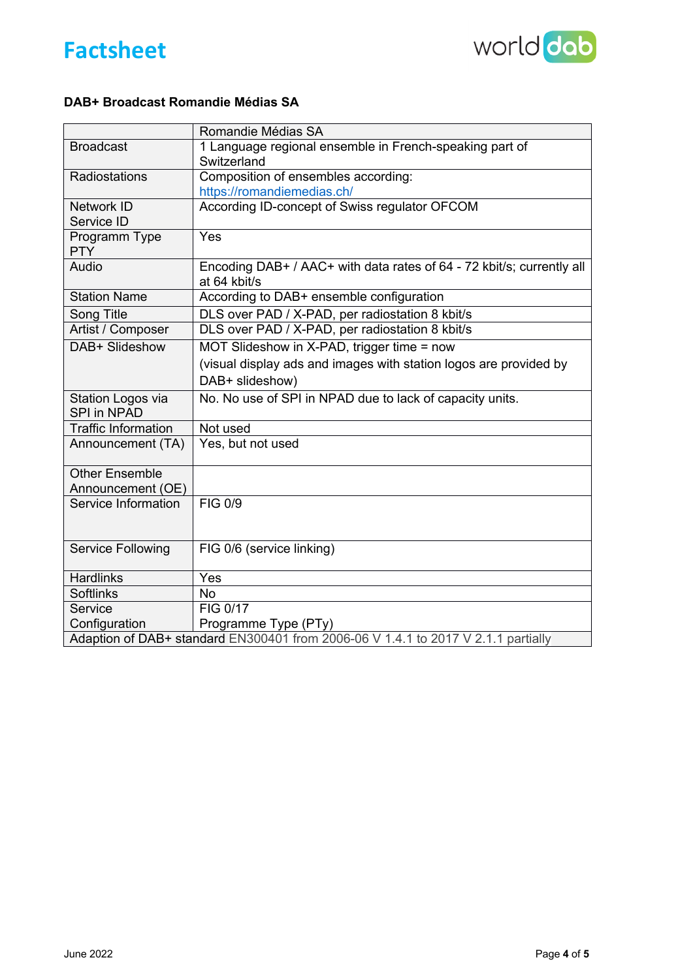



#### **DAB+ Broadcast Romandie Médias SA**

|                                                                                   | Romandie Médias SA                                                                    |  |  |  |
|-----------------------------------------------------------------------------------|---------------------------------------------------------------------------------------|--|--|--|
| <b>Broadcast</b>                                                                  | 1 Language regional ensemble in French-speaking part of<br>Switzerland                |  |  |  |
| Radiostations                                                                     | Composition of ensembles according:                                                   |  |  |  |
|                                                                                   | https://romandiemedias.ch/                                                            |  |  |  |
| Network ID                                                                        | According ID-concept of Swiss regulator OFCOM                                         |  |  |  |
| Service ID                                                                        |                                                                                       |  |  |  |
| Programm Type<br><b>PTY</b>                                                       | Yes                                                                                   |  |  |  |
| Audio                                                                             | Encoding DAB+ / AAC+ with data rates of 64 - 72 kbit/s; currently all<br>at 64 kbit/s |  |  |  |
| <b>Station Name</b>                                                               | According to DAB+ ensemble configuration                                              |  |  |  |
| Song Title                                                                        | DLS over PAD / X-PAD, per radiostation 8 kbit/s                                       |  |  |  |
| Artist / Composer                                                                 | DLS over PAD / X-PAD, per radiostation 8 kbit/s                                       |  |  |  |
| DAB+ Slideshow                                                                    | MOT Slideshow in X-PAD, trigger time = now                                            |  |  |  |
|                                                                                   | (visual display ads and images with station logos are provided by                     |  |  |  |
|                                                                                   | DAB+ slideshow)                                                                       |  |  |  |
| Station Logos via                                                                 | No. No use of SPI in NPAD due to lack of capacity units.                              |  |  |  |
| <b>SPI in NPAD</b>                                                                |                                                                                       |  |  |  |
| <b>Traffic Information</b>                                                        | Not used                                                                              |  |  |  |
| Announcement (TA)                                                                 | Yes, but not used                                                                     |  |  |  |
| <b>Other Ensemble</b>                                                             |                                                                                       |  |  |  |
| Announcement (OE)                                                                 |                                                                                       |  |  |  |
| Service Information                                                               | <b>FIG 0/9</b>                                                                        |  |  |  |
| <b>Service Following</b>                                                          | FIG 0/6 (service linking)                                                             |  |  |  |
| <b>Hardlinks</b>                                                                  | Yes                                                                                   |  |  |  |
| <b>Softlinks</b>                                                                  | <b>No</b>                                                                             |  |  |  |
| Service                                                                           | FIG 0/17                                                                              |  |  |  |
| Configuration<br>Programme Type (PTy)                                             |                                                                                       |  |  |  |
| Adaption of DAB+ standard EN300401 from 2006-06 V 1.4.1 to 2017 V 2.1.1 partially |                                                                                       |  |  |  |